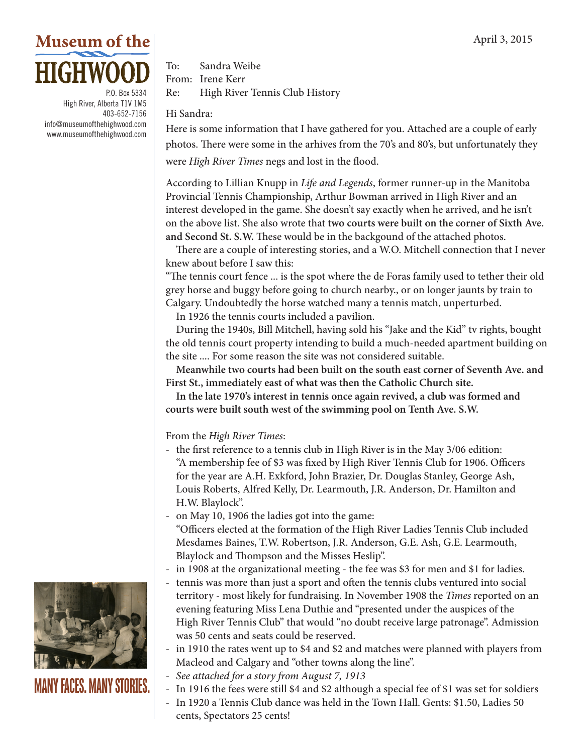## **Museum of the HIGHWOOD**

P.O. Box 5334 High River, Alberta T1V 1M5 403-652-7156 info@museumofthehighwood.com www.museumofthehighwood.com

To: Sandra Weibe From: Irene Kerr Re: High River Tennis Club History

## Hi Sandra:

Here is some information that I have gathered for you. Attached are a couple of early photos. There were some in the arhives from the 70's and 80's, but unfortunately they were *High River Times* negs and lost in the flood.

According to Lillian Knupp in *Life and Legends*, former runner-up in the Manitoba Provincial Tennis Championship, Arthur Bowman arrived in High River and an interest developed in the game. She doesn't say exactly when he arrived, and he isn't on the above list. She also wrote that **two courts were built on the corner of Sixth Ave. and Second St. S.W.** These would be in the backgound of the attached photos.

There are a couple of interesting stories, and a W.O. Mitchell connection that I never knew about before I saw this:

"The tennis court fence ... is the spot where the de Foras family used to tether their old grey horse and buggy before going to church nearby., or on longer jaunts by train to Calgary. Undoubtedly the horse watched many a tennis match, unperturbed.

In 1926 the tennis courts included a pavilion.

During the 1940s, Bill Mitchell, having sold his "Jake and the Kid" tv rights, bought the old tennis court property intending to build a much-needed apartment building on the site .... For some reason the site was not considered suitable.

**Meanwhile two courts had been built on the south east corner of Seventh Ave. and First St., immediately east of what was then the Catholic Church site.**

**In the late 1970's interest in tennis once again revived, a club was formed and courts were built south west of the swimming pool on Tenth Ave. S.W.** 

From the *High River Times*:

- the first reference to a tennis club in High River is in the May 3/06 edition: "A membership fee of \$3 was fixed by High River Tennis Club for 1906. Officers for the year are A.H. Exkford, John Brazier, Dr. Douglas Stanley, George Ash, Louis Roberts, Alfred Kelly, Dr. Learmouth, J.R. Anderson, Dr. Hamilton and H.W. Blaylock".
- on May 10, 1906 the ladies got into the game: "Officers elected at the formation of the High River Ladies Tennis Club included Mesdames Baines, T.W. Robertson, J.R. Anderson, G.E. Ash, G.E. Learmouth, Blaylock and Thompson and the Misses Heslip".
- in 1908 at the organizational meeting the fee was \$3 for men and \$1 for ladies.
- tennis was more than just a sport and often the tennis clubs ventured into social territory - most likely for fundraising. In November 1908 the *Times* reported on an evening featuring Miss Lena Duthie and "presented under the auspices of the High River Tennis Club" that would "no doubt receive large patronage". Admission was 50 cents and seats could be reserved.
- in 1910 the rates went up to \$4 and \$2 and matches were planned with players from Macleod and Calgary and "other towns along the line".
- *- See attached for a story from August 7, 1913*
- In 1916 the fees were still \$4 and \$2 although a special fee of \$1 was set for soldiers
- In 1920 a Tennis Club dance was held in the Town Hall. Gents: \$1.50, Ladies 50 cents, Spectators 25 cents!



## **MANY FACES. MANY STORIES.**